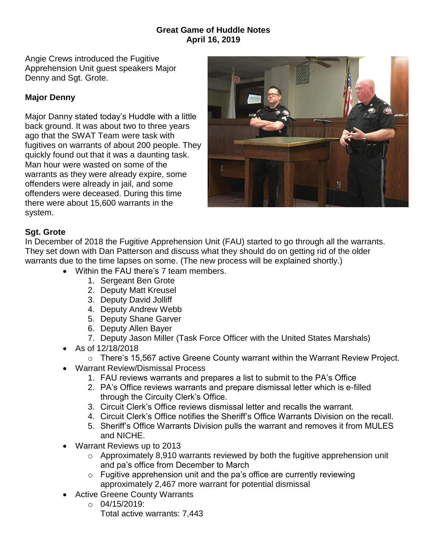## **Great Game of Huddle Notes April 16, 2019**

Angie Crews introduced the Fugitive Apprehension Unit guest speakers Major Denny and Sgt. Grote.

## **Major Denny**

Major Danny stated today's Huddle with a little back ground. It was about two to three years ago that the SWAT Team were task with fugitives on warrants of about 200 people. They quickly found out that it was a daunting task. Man hour were wasted on some of the warrants as they were already expire, some offenders were already in jail, and some offenders were deceased. During this time there were about 15,600 warrants in the system.



## **Sgt. Grote**

In December of 2018 the Fugitive Apprehension Unit (FAU) started to go through all the warrants. They set down with Dan Patterson and discuss what they should do on getting rid of the older warrants due to the time lapses on some. (The new process will be explained shortly.)

- Within the FAU there's 7 team members.
	- 1. Sergeant Ben Grote
	- 2. Deputy Matt Kreusel
	- 3. Deputy David Jolliff
	- 4. Deputy Andrew Webb
	- 5. Deputy Shane Garver
	- 6. Deputy Allen Bayer
	- 7. Deputy Jason Miller (Task Force Officer with the United States Marshals)
- As of 12/18/2018
	- o There's 15,567 active Greene County warrant within the Warrant Review Project.
- Warrant Review/Dismissal Process
	- 1. FAU reviews warrants and prepares a list to submit to the PA's Office
	- 2. PA's Office reviews warrants and prepare dismissal letter which is e-filled through the Circuity Clerk's Office.
	- 3. Circuit Clerk's Office reviews dismissal letter and recalls the warrant.
	- 4. Circuit Clerk's Office notifies the Sheriff's Office Warrants Division on the recall.
	- 5. Sheriff's Office Warrants Division pulls the warrant and removes it from MULES and NICHE.
- Warrant Reviews up to 2013
	- o Approximately 8,910 warrants reviewed by both the fugitive apprehension unit and pa's office from December to March
	- $\circ$  Fugitive apprehension unit and the pa's office are currently reviewing approximately 2,467 more warrant for potential dismissal
- Active Greene County Warrants
	- $O = 04/15/2019$ : Total active warrants: 7,443